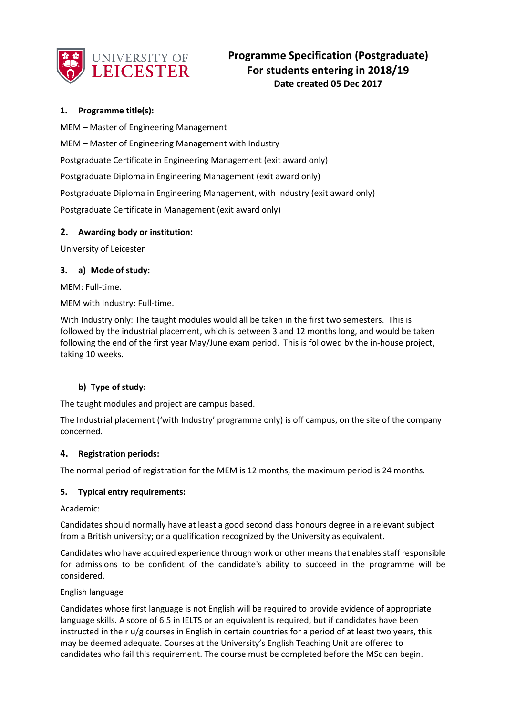

# **1. Programme title(s):**

MEM – Master of Engineering Management MEM – Master of Engineering Management with Industry Postgraduate Certificate in Engineering Management (exit award only) Postgraduate Diploma in Engineering Management (exit award only) Postgraduate Diploma in Engineering Management, with Industry (exit award only) Postgraduate Certificate in Management (exit award only)

## **2. Awarding body or institution:**

University of Leicester

## **3. a) Mode of study:**

MEM: Full-time.

MEM with Industry: Full-time.

With Industry only: The taught modules would all be taken in the first two semesters. This is followed by the industrial placement, which is between 3 and 12 months long, and would be taken following the end of the first year May/June exam period. This is followed by the in-house project, taking 10 weeks.

## **b) Type of study:**

The taught modules and project are campus based.

The Industrial placement ('with Industry' programme only) is off campus, on the site of the company concerned.

## **4. Registration periods:**

The normal period of registration for the MEM is 12 months, the maximum period is 24 months.

## **5. Typical entry requirements:**

Academic:

Candidates should normally have at least a good second class honours degree in a relevant subject from a British university; or a qualification recognized by the University as equivalent.

Candidates who have acquired experience through work or other means that enables staff responsible for admissions to be confident of the candidate's ability to succeed in the programme will be considered.

## English language

Candidates whose first language is not English will be required to provide evidence of appropriate language skills. A score of 6.5 in IELTS or an equivalent is required, but if candidates have been instructed in their u/g courses in English in certain countries for a period of at least two years, this may be deemed adequate. Courses at the University's English Teaching Unit are offered to candidates who fail this requirement. The course must be completed before the MSc can begin.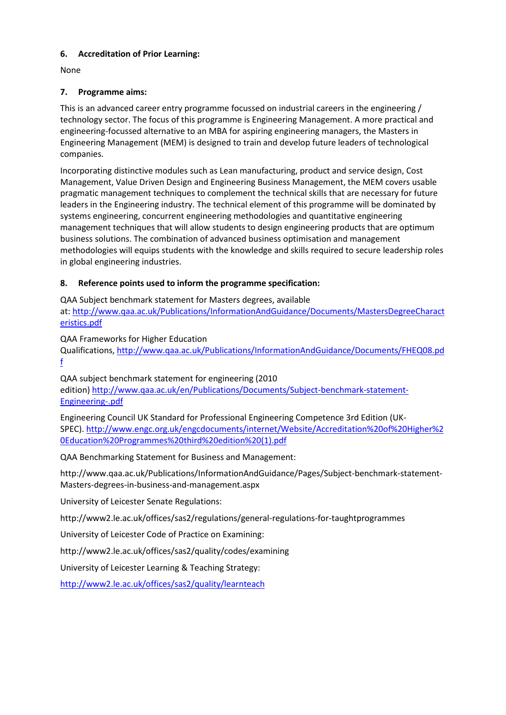## **6. Accreditation of Prior Learning:**

None

# **7. Programme aims:**

This is an advanced career entry programme focussed on industrial careers in the engineering / technology sector. The focus of this programme is Engineering Management. A more practical and engineering-focussed alternative to an MBA for aspiring engineering managers, the Masters in Engineering Management (MEM) is designed to train and develop future leaders of technological companies.

Incorporating distinctive modules such as Lean manufacturing, product and service design, Cost Management, Value Driven Design and Engineering Business Management, the MEM covers usable pragmatic management techniques to complement the technical skills that are necessary for future leaders in the Engineering industry. The technical element of this programme will be dominated by systems engineering, concurrent engineering methodologies and quantitative engineering management techniques that will allow students to design engineering products that are optimum business solutions. The combination of advanced business optimisation and management methodologies will equips students with the knowledge and skills required to secure leadership roles in global engineering industries.

## **8. Reference points used to inform the programme specification:**

QAA Subject benchmark statement for Masters degrees, available at: [http://www.qaa.ac.uk/Publications/InformationAndGuidance/Documents/MastersDegreeCharact](http://www.qaa.ac.uk/Publications/InformationAndGuidance/Documents/MastersDegreeCharacteristics.pdf) [eristics.pdf](http://www.qaa.ac.uk/Publications/InformationAndGuidance/Documents/MastersDegreeCharacteristics.pdf)

## QAA Frameworks for Higher Education

Qualifications[, http://www.qaa.ac.uk/Publications/InformationAndGuidance/Documents/FHEQ08.pd](http://www.qaa.ac.uk/Publications/InformationAndGuidance/Documents/FHEQ08.pdf) [f](http://www.qaa.ac.uk/Publications/InformationAndGuidance/Documents/FHEQ08.pdf)

QAA subject benchmark statement for engineering (2010 edition) [http://www.qaa.ac.uk/en/Publications/Documents/Subject-benchmark-statement-](http://www.qaa.ac.uk/en/Publications/Documents/Subject-benchmark-statement-Engineering-.pdf)[Engineering-.pdf](http://www.qaa.ac.uk/en/Publications/Documents/Subject-benchmark-statement-Engineering-.pdf)

Engineering Council UK Standard for Professional Engineering Competence 3rd Edition (UK-SPEC)[. http://www.engc.org.uk/engcdocuments/internet/Website/Accreditation%20of%20Higher%2](http://www.engc.org.uk/engcdocuments/internet/Website/Accreditation%20of%20Higher%20Education%20Programmes%20third%20edition%20(1).pdf) [0Education%20Programmes%20third%20edition%20\(1\).pdf](http://www.engc.org.uk/engcdocuments/internet/Website/Accreditation%20of%20Higher%20Education%20Programmes%20third%20edition%20(1).pdf)

QAA Benchmarking Statement for Business and Management:

http://www.qaa.ac.uk/Publications/InformationAndGuidance/Pages/Subject-benchmark-statement-Masters-degrees-in-business-and-management.aspx

University of Leicester Senate Regulations:

http://www2.le.ac.uk/offices/sas2/regulations/general-regulations-for-taughtprogrammes

University of Leicester Code of Practice on Examining:

http://www2.le.ac.uk/offices/sas2/quality/codes/examining

University of Leicester Learning & Teaching Strategy:

<http://www2.le.ac.uk/offices/sas2/quality/learnteach>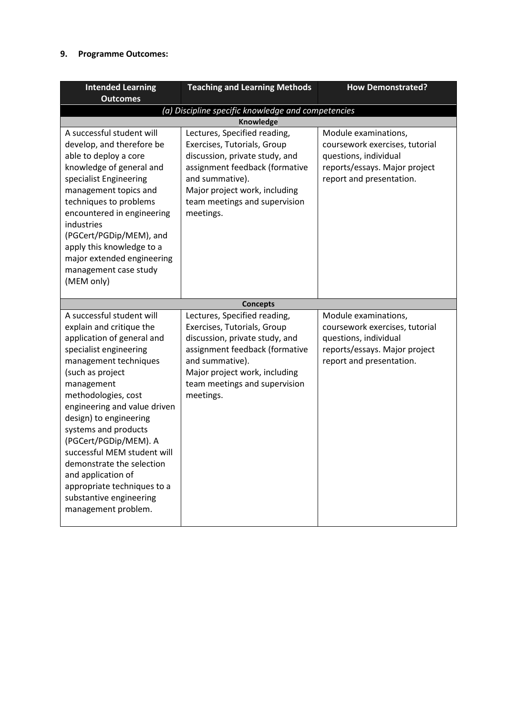## **9. Programme Outcomes:**

| <b>Intended Learning</b><br><b>Outcomes</b>                                                                                                                                                                                                                                                                                                                                                                                                                                   | <b>Teaching and Learning Methods</b>                                                                                                                                                                                              | <b>How Demonstrated?</b>                                                                                                                     |  |
|-------------------------------------------------------------------------------------------------------------------------------------------------------------------------------------------------------------------------------------------------------------------------------------------------------------------------------------------------------------------------------------------------------------------------------------------------------------------------------|-----------------------------------------------------------------------------------------------------------------------------------------------------------------------------------------------------------------------------------|----------------------------------------------------------------------------------------------------------------------------------------------|--|
| (a) Discipline specific knowledge and competencies                                                                                                                                                                                                                                                                                                                                                                                                                            |                                                                                                                                                                                                                                   |                                                                                                                                              |  |
|                                                                                                                                                                                                                                                                                                                                                                                                                                                                               | <b>Knowledge</b>                                                                                                                                                                                                                  |                                                                                                                                              |  |
| A successful student will<br>develop, and therefore be<br>able to deploy a core<br>knowledge of general and<br>specialist Engineering<br>management topics and<br>techniques to problems<br>encountered in engineering<br>industries<br>(PGCert/PGDip/MEM), and<br>apply this knowledge to a<br>major extended engineering<br>management case study<br>(MEM only)                                                                                                             | Lectures, Specified reading,<br>Exercises, Tutorials, Group<br>discussion, private study, and<br>assignment feedback (formative<br>and summative).<br>Major project work, including<br>team meetings and supervision<br>meetings. | Module examinations,<br>coursework exercises, tutorial<br>questions, individual<br>reports/essays. Major project<br>report and presentation. |  |
|                                                                                                                                                                                                                                                                                                                                                                                                                                                                               | <b>Concepts</b>                                                                                                                                                                                                                   |                                                                                                                                              |  |
| A successful student will<br>explain and critique the<br>application of general and<br>specialist engineering<br>management techniques<br>(such as project<br>management<br>methodologies, cost<br>engineering and value driven<br>design) to engineering<br>systems and products<br>(PGCert/PGDip/MEM). A<br>successful MEM student will<br>demonstrate the selection<br>and application of<br>appropriate techniques to a<br>substantive engineering<br>management problem. | Lectures, Specified reading,<br>Exercises, Tutorials, Group<br>discussion, private study, and<br>assignment feedback (formative<br>and summative).<br>Major project work, including<br>team meetings and supervision<br>meetings. | Module examinations,<br>coursework exercises, tutorial<br>questions, individual<br>reports/essays. Major project<br>report and presentation. |  |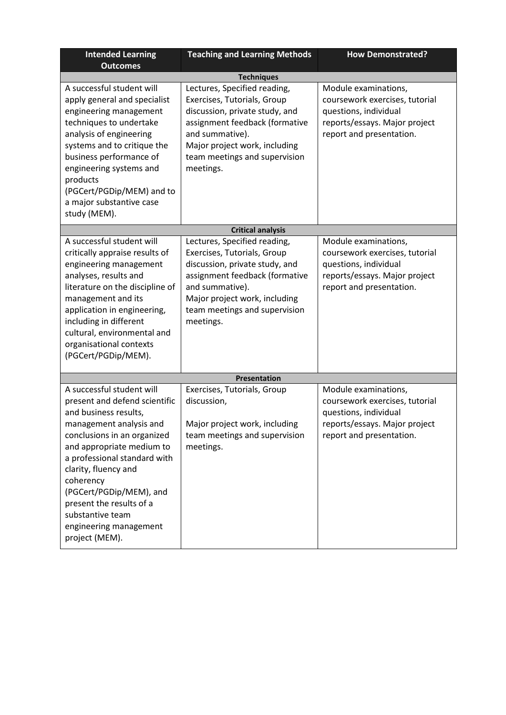| <b>Intended Learning</b>                                                                                                                                                                                                                                                                                                                                               | <b>Teaching and Learning Methods</b>                                                                                                                                                                                                                   | <b>How Demonstrated?</b>                                                                                                                     |  |  |
|------------------------------------------------------------------------------------------------------------------------------------------------------------------------------------------------------------------------------------------------------------------------------------------------------------------------------------------------------------------------|--------------------------------------------------------------------------------------------------------------------------------------------------------------------------------------------------------------------------------------------------------|----------------------------------------------------------------------------------------------------------------------------------------------|--|--|
| <b>Outcomes</b>                                                                                                                                                                                                                                                                                                                                                        |                                                                                                                                                                                                                                                        |                                                                                                                                              |  |  |
| A successful student will<br>apply general and specialist<br>engineering management<br>techniques to undertake<br>analysis of engineering<br>systems and to critique the<br>business performance of<br>engineering systems and<br>products<br>(PGCert/PGDip/MEM) and to<br>a major substantive case<br>study (MEM).                                                    | <b>Techniques</b><br>Lectures, Specified reading,<br>Exercises, Tutorials, Group<br>discussion, private study, and<br>assignment feedback (formative<br>and summative).<br>Major project work, including<br>team meetings and supervision<br>meetings. | Module examinations,<br>coursework exercises, tutorial<br>questions, individual<br>reports/essays. Major project<br>report and presentation. |  |  |
|                                                                                                                                                                                                                                                                                                                                                                        | <b>Critical analysis</b>                                                                                                                                                                                                                               |                                                                                                                                              |  |  |
| A successful student will<br>critically appraise results of<br>engineering management<br>analyses, results and<br>literature on the discipline of<br>management and its<br>application in engineering,<br>including in different<br>cultural, environmental and<br>organisational contexts<br>(PGCert/PGDip/MEM).                                                      | Lectures, Specified reading,<br>Exercises, Tutorials, Group<br>discussion, private study, and<br>assignment feedback (formative<br>and summative).<br>Major project work, including<br>team meetings and supervision<br>meetings.                      | Module examinations,<br>coursework exercises, tutorial<br>questions, individual<br>reports/essays. Major project<br>report and presentation. |  |  |
|                                                                                                                                                                                                                                                                                                                                                                        | Presentation                                                                                                                                                                                                                                           |                                                                                                                                              |  |  |
| A successful student will<br>present and defend scientific<br>and business results,<br>management analysis and<br>conclusions in an organized<br>and appropriate medium to<br>a professional standard with<br>clarity, fluency and<br>coherency<br>(PGCert/PGDip/MEM), and<br>present the results of a<br>substantive team<br>engineering management<br>project (MEM). | Exercises, Tutorials, Group<br>discussion,<br>Major project work, including<br>team meetings and supervision<br>meetings.                                                                                                                              | Module examinations,<br>coursework exercises, tutorial<br>questions, individual<br>reports/essays. Major project<br>report and presentation. |  |  |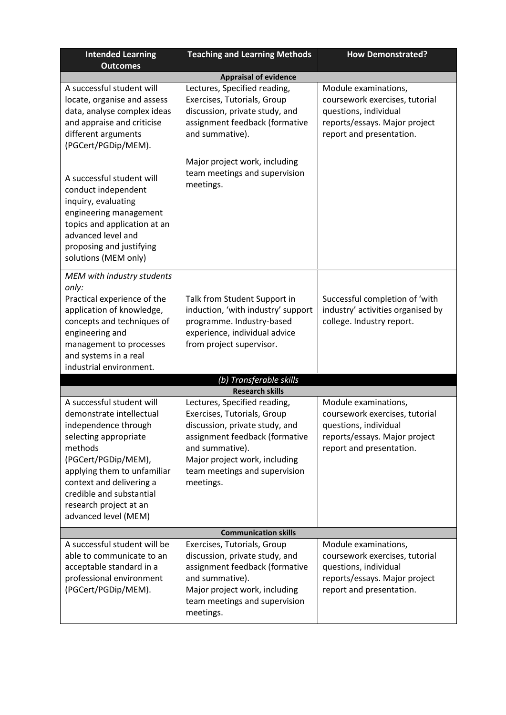| <b>Intended Learning</b><br><b>Outcomes</b>                                                                                                                                                                                                                                       | <b>Teaching and Learning Methods</b>                                                                                                                                                                                              | <b>How Demonstrated?</b>                                                                                                                     |  |  |
|-----------------------------------------------------------------------------------------------------------------------------------------------------------------------------------------------------------------------------------------------------------------------------------|-----------------------------------------------------------------------------------------------------------------------------------------------------------------------------------------------------------------------------------|----------------------------------------------------------------------------------------------------------------------------------------------|--|--|
|                                                                                                                                                                                                                                                                                   | <b>Appraisal of evidence</b>                                                                                                                                                                                                      |                                                                                                                                              |  |  |
| A successful student will<br>locate, organise and assess<br>data, analyse complex ideas<br>and appraise and criticise<br>different arguments<br>(PGCert/PGDip/MEM).                                                                                                               | Lectures, Specified reading,<br>Exercises, Tutorials, Group<br>discussion, private study, and<br>assignment feedback (formative<br>and summative).                                                                                | Module examinations,<br>coursework exercises, tutorial<br>questions, individual<br>reports/essays. Major project<br>report and presentation. |  |  |
| A successful student will<br>conduct independent<br>inquiry, evaluating<br>engineering management<br>topics and application at an<br>advanced level and<br>proposing and justifying<br>solutions (MEM only)                                                                       | Major project work, including<br>team meetings and supervision<br>meetings.                                                                                                                                                       |                                                                                                                                              |  |  |
| MEM with industry students<br>only:<br>Practical experience of the<br>application of knowledge,<br>concepts and techniques of<br>engineering and<br>management to processes<br>and systems in a real<br>industrial environment.                                                   | Talk from Student Support in<br>induction, 'with industry' support<br>programme. Industry-based<br>experience, individual advice<br>from project supervisor.                                                                      | Successful completion of 'with<br>industry' activities organised by<br>college. Industry report.                                             |  |  |
|                                                                                                                                                                                                                                                                                   | (b) Transferable skills                                                                                                                                                                                                           |                                                                                                                                              |  |  |
|                                                                                                                                                                                                                                                                                   | <b>Research skills</b>                                                                                                                                                                                                            |                                                                                                                                              |  |  |
| A successful student will<br>demonstrate intellectual<br>independence through<br>selecting appropriate<br>methods<br>(PGCert/PGDip/MEM),<br>applying them to unfamiliar<br>context and delivering a<br>credible and substantial<br>research project at an<br>advanced level (MEM) | Lectures, Specified reading,<br>Exercises, Tutorials, Group<br>discussion, private study, and<br>assignment feedback (formative<br>and summative).<br>Major project work, including<br>team meetings and supervision<br>meetings. | Module examinations,<br>coursework exercises, tutorial<br>questions, individual<br>reports/essays. Major project<br>report and presentation. |  |  |
| <b>Communication skills</b>                                                                                                                                                                                                                                                       |                                                                                                                                                                                                                                   |                                                                                                                                              |  |  |
| A successful student will be<br>able to communicate to an<br>acceptable standard in a<br>professional environment<br>(PGCert/PGDip/MEM).                                                                                                                                          | Exercises, Tutorials, Group<br>discussion, private study, and<br>assignment feedback (formative<br>and summative).<br>Major project work, including<br>team meetings and supervision<br>meetings.                                 | Module examinations,<br>coursework exercises, tutorial<br>questions, individual<br>reports/essays. Major project<br>report and presentation. |  |  |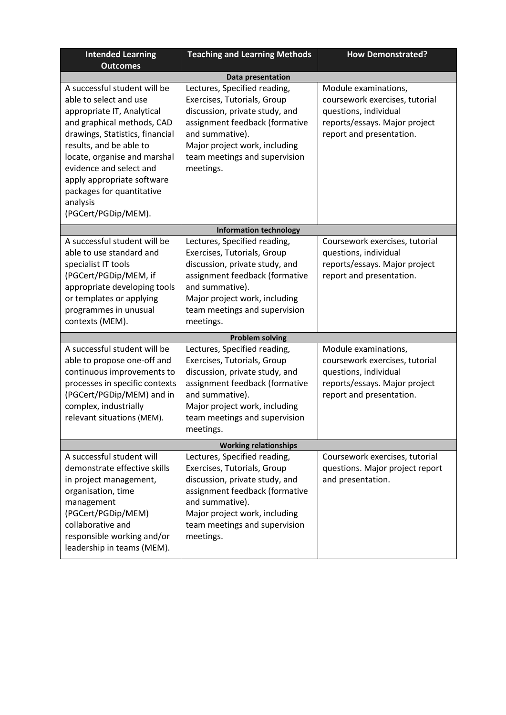| <b>Intended Learning</b><br><b>Outcomes</b>                                                                                                                                                                                                                                                                                               | <b>Teaching and Learning Methods</b>                                                                                                                                                                                              | <b>How Demonstrated?</b>                                                                                                                     |  |  |  |
|-------------------------------------------------------------------------------------------------------------------------------------------------------------------------------------------------------------------------------------------------------------------------------------------------------------------------------------------|-----------------------------------------------------------------------------------------------------------------------------------------------------------------------------------------------------------------------------------|----------------------------------------------------------------------------------------------------------------------------------------------|--|--|--|
|                                                                                                                                                                                                                                                                                                                                           | <b>Data presentation</b>                                                                                                                                                                                                          |                                                                                                                                              |  |  |  |
| A successful student will be<br>able to select and use<br>appropriate IT, Analytical<br>and graphical methods, CAD<br>drawings, Statistics, financial<br>results, and be able to<br>locate, organise and marshal<br>evidence and select and<br>apply appropriate software<br>packages for quantitative<br>analysis<br>(PGCert/PGDip/MEM). | Lectures, Specified reading,<br>Exercises, Tutorials, Group<br>discussion, private study, and<br>assignment feedback (formative<br>and summative).<br>Major project work, including<br>team meetings and supervision<br>meetings. | Module examinations,<br>coursework exercises, tutorial<br>questions, individual<br>reports/essays. Major project<br>report and presentation. |  |  |  |
|                                                                                                                                                                                                                                                                                                                                           | <b>Information technology</b>                                                                                                                                                                                                     |                                                                                                                                              |  |  |  |
| A successful student will be<br>able to use standard and<br>specialist IT tools<br>(PGCert/PGDip/MEM, if<br>appropriate developing tools<br>or templates or applying<br>programmes in unusual<br>contexts (MEM).                                                                                                                          | Lectures, Specified reading,<br>Exercises, Tutorials, Group<br>discussion, private study, and<br>assignment feedback (formative<br>and summative).<br>Major project work, including<br>team meetings and supervision<br>meetings. | Coursework exercises, tutorial<br>questions, individual<br>reports/essays. Major project<br>report and presentation.                         |  |  |  |
|                                                                                                                                                                                                                                                                                                                                           | <b>Problem solving</b>                                                                                                                                                                                                            |                                                                                                                                              |  |  |  |
| A successful student will be<br>able to propose one-off and<br>continuous improvements to<br>processes in specific contexts<br>(PGCert/PGDip/MEM) and in<br>complex, industrially<br>relevant situations (MEM).                                                                                                                           | Lectures, Specified reading,<br>Exercises, Tutorials, Group<br>discussion, private study, and<br>assignment feedback (formative<br>and summative).<br>Major project work, including<br>team meetings and supervision<br>meetings. | Module examinations,<br>coursework exercises, tutorial<br>questions, individual<br>reports/essays. Major project<br>report and presentation. |  |  |  |
| <b>Working relationships</b>                                                                                                                                                                                                                                                                                                              |                                                                                                                                                                                                                                   |                                                                                                                                              |  |  |  |
| A successful student will<br>demonstrate effective skills<br>in project management,<br>organisation, time<br>management<br>(PGCert/PGDip/MEM)<br>collaborative and<br>responsible working and/or<br>leadership in teams (MEM).                                                                                                            | Lectures, Specified reading,<br>Exercises, Tutorials, Group<br>discussion, private study, and<br>assignment feedback (formative<br>and summative).<br>Major project work, including<br>team meetings and supervision<br>meetings. | Coursework exercises, tutorial<br>questions. Major project report<br>and presentation.                                                       |  |  |  |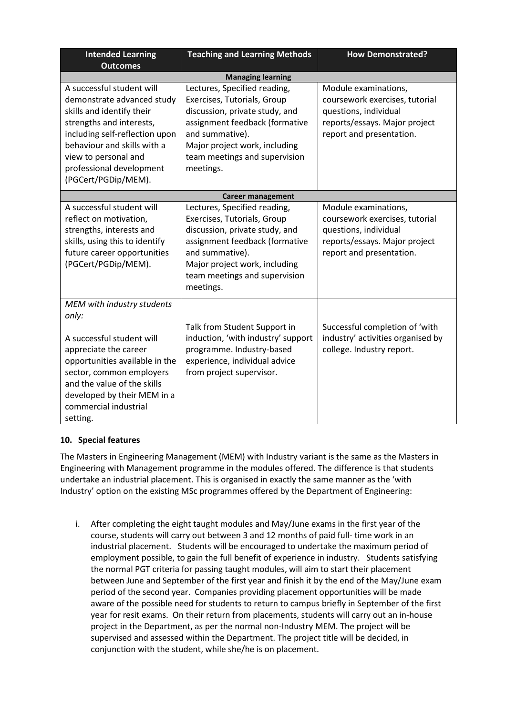| <b>Intended Learning</b><br><b>Outcomes</b>                                                                                                                                                                                                                  | <b>Teaching and Learning Methods</b>                                                                                                                                                                                              | <b>How Demonstrated?</b>                                                                                                                     |
|--------------------------------------------------------------------------------------------------------------------------------------------------------------------------------------------------------------------------------------------------------------|-----------------------------------------------------------------------------------------------------------------------------------------------------------------------------------------------------------------------------------|----------------------------------------------------------------------------------------------------------------------------------------------|
|                                                                                                                                                                                                                                                              | <b>Managing learning</b>                                                                                                                                                                                                          |                                                                                                                                              |
| A successful student will<br>demonstrate advanced study<br>skills and identify their<br>strengths and interests,<br>including self-reflection upon<br>behaviour and skills with a<br>view to personal and<br>professional development<br>(PGCert/PGDip/MEM). | Lectures, Specified reading,<br>Exercises, Tutorials, Group<br>discussion, private study, and<br>assignment feedback (formative<br>and summative).<br>Major project work, including<br>team meetings and supervision<br>meetings. | Module examinations,<br>coursework exercises, tutorial<br>questions, individual<br>reports/essays. Major project<br>report and presentation. |
|                                                                                                                                                                                                                                                              | <b>Career management</b>                                                                                                                                                                                                          |                                                                                                                                              |
| A successful student will<br>reflect on motivation,<br>strengths, interests and<br>skills, using this to identify<br>future career opportunities<br>(PGCert/PGDip/MEM).                                                                                      | Lectures, Specified reading,<br>Exercises, Tutorials, Group<br>discussion, private study, and<br>assignment feedback (formative<br>and summative).<br>Major project work, including<br>team meetings and supervision<br>meetings. | Module examinations,<br>coursework exercises, tutorial<br>questions, individual<br>reports/essays. Major project<br>report and presentation. |
| MEM with industry students<br>only:<br>A successful student will<br>appreciate the career<br>opportunities available in the<br>sector, common employers<br>and the value of the skills<br>developed by their MEM in a<br>commercial industrial<br>setting.   | Talk from Student Support in<br>induction, 'with industry' support<br>programme. Industry-based<br>experience, individual advice<br>from project supervisor.                                                                      | Successful completion of 'with<br>industry' activities organised by<br>college. Industry report.                                             |

# **10. Special features**

The Masters in Engineering Management (MEM) with Industry variant is the same as the Masters in Engineering with Management programme in the modules offered. The difference is that students undertake an industrial placement. This is organised in exactly the same manner as the 'with Industry' option on the existing MSc programmes offered by the Department of Engineering:

i. After completing the eight taught modules and May/June exams in the first year of the course, students will carry out between 3 and 12 months of paid full- time work in an industrial placement. Students will be encouraged to undertake the maximum period of employment possible, to gain the full benefit of experience in industry. Students satisfying the normal PGT criteria for passing taught modules, will aim to start their placement between June and September of the first year and finish it by the end of the May/June exam period of the second year. Companies providing placement opportunities will be made aware of the possible need for students to return to campus briefly in September of the first year for resit exams. On their return from placements, students will carry out an in-house project in the Department, as per the normal non-Industry MEM. The project will be supervised and assessed within the Department. The project title will be decided, in conjunction with the student, while she/he is on placement.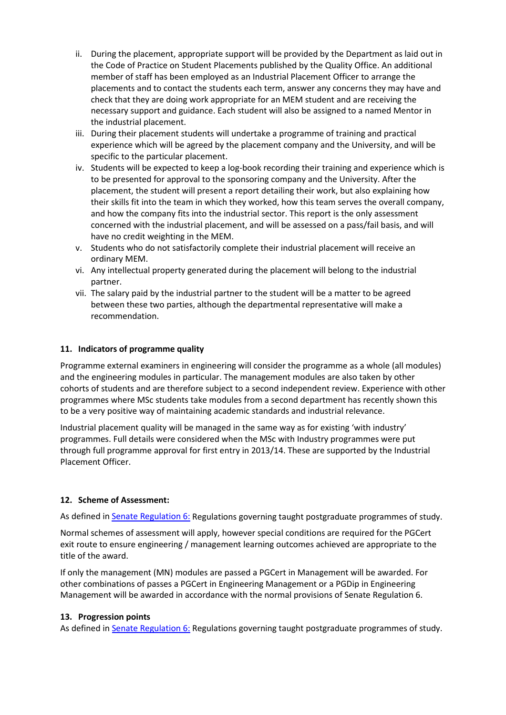- ii. During the placement, appropriate support will be provided by the Department as laid out in the Code of Practice on Student Placements published by the Quality Office. An additional member of staff has been employed as an Industrial Placement Officer to arrange the placements and to contact the students each term, answer any concerns they may have and check that they are doing work appropriate for an MEM student and are receiving the necessary support and guidance. Each student will also be assigned to a named Mentor in the industrial placement.
- iii. During their placement students will undertake a programme of training and practical experience which will be agreed by the placement company and the University, and will be specific to the particular placement.
- iv. Students will be expected to keep a log-book recording their training and experience which is to be presented for approval to the sponsoring company and the University. After the placement, the student will present a report detailing their work, but also explaining how their skills fit into the team in which they worked, how this team serves the overall company, and how the company fits into the industrial sector. This report is the only assessment concerned with the industrial placement, and will be assessed on a pass/fail basis, and will have no credit weighting in the MEM.
- v. Students who do not satisfactorily complete their industrial placement will receive an ordinary MEM.
- vi. Any intellectual property generated during the placement will belong to the industrial partner.
- vii. The salary paid by the industrial partner to the student will be a matter to be agreed between these two parties, although the departmental representative will make a recommendation.

## **11. Indicators of programme quality**

Programme external examiners in engineering will consider the programme as a whole (all modules) and the engineering modules in particular. The management modules are also taken by other cohorts of students and are therefore subject to a second independent review. Experience with other programmes where MSc students take modules from a second department has recently shown this to be a very positive way of maintaining academic standards and industrial relevance.

Industrial placement quality will be managed in the same way as for existing 'with industry' programmes. Full details were considered when the MSc with Industry programmes were put through full programme approval for first entry in 2013/14. These are supported by the Industrial Placement Officer.

## **12. Scheme of Assessment:**

As defined i[n Senate Regulation 6:](http://www.le.ac.uk/senate-regulation6) Regulations governing taught postgraduate programmes of study.

Normal schemes of assessment will apply, however special conditions are required for the PGCert exit route to ensure engineering / management learning outcomes achieved are appropriate to the title of the award.

If only the management (MN) modules are passed a PGCert in Management will be awarded. For other combinations of passes a PGCert in Engineering Management or a PGDip in Engineering Management will be awarded in accordance with the normal provisions of Senate Regulation 6.

## **13. Progression points**

As defined i[n Senate Regulation 6:](http://www.le.ac.uk/senate-regulation6) Regulations governing taught postgraduate programmes of study.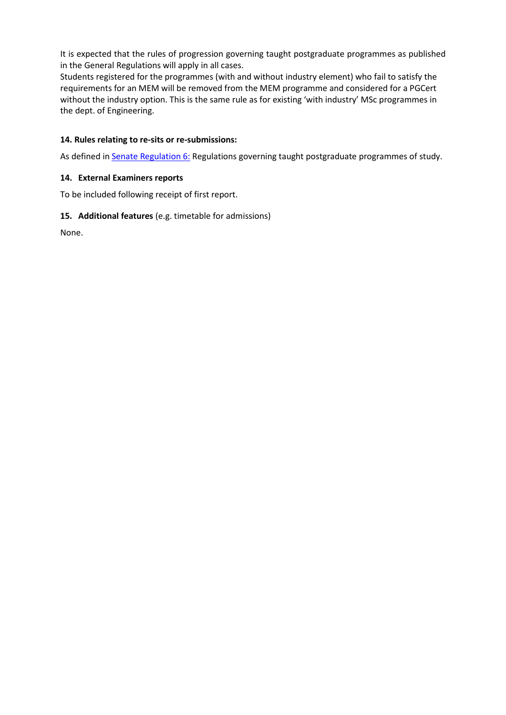It is expected that the rules of progression governing taught postgraduate programmes as published in the General Regulations will apply in all cases.

Students registered for the programmes (with and without industry element) who fail to satisfy the requirements for an MEM will be removed from the MEM programme and considered for a PGCert without the industry option. This is the same rule as for existing 'with industry' MSc programmes in the dept. of Engineering.

## **14. Rules relating to re-sits or re-submissions:**

As defined i[n Senate Regulation 6:](http://www.le.ac.uk/senate-regulation6) Regulations governing taught postgraduate programmes of study.

## **14. External Examiners reports**

To be included following receipt of first report.

## **15. Additional features** (e.g. timetable for admissions)

None.